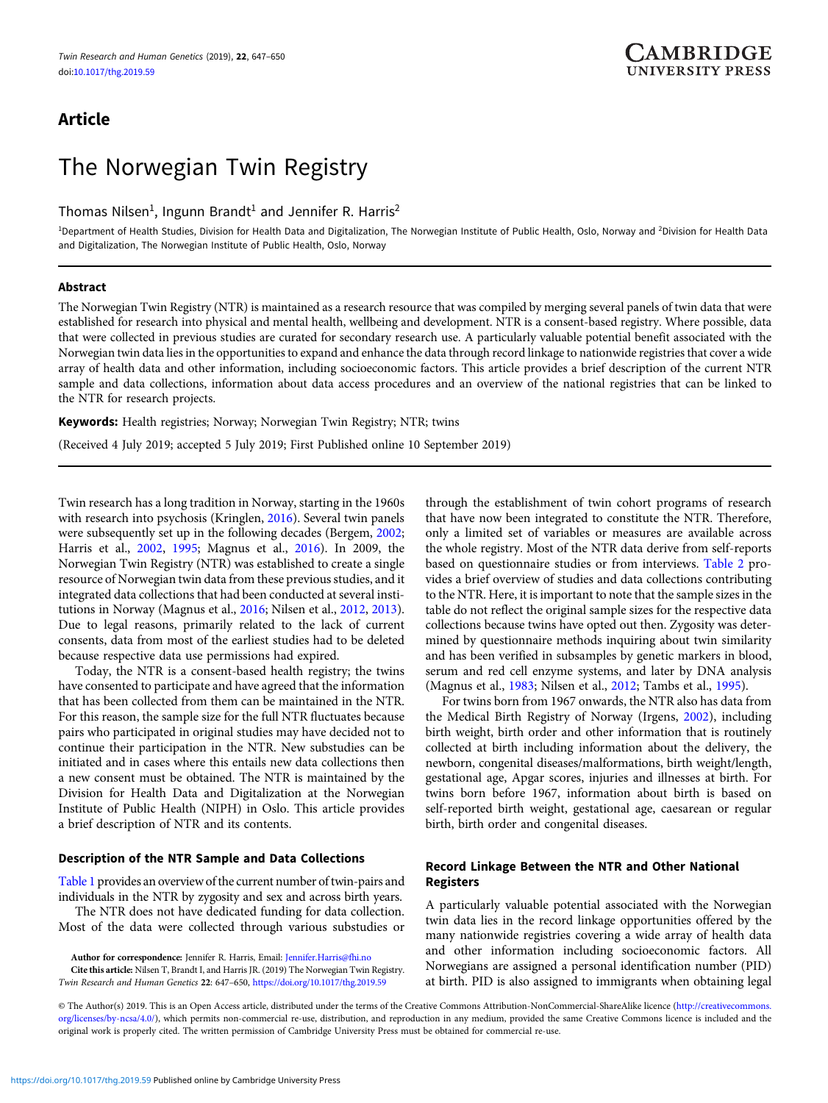### Article

# **AMBRIDGE**

## The Norwegian Twin Registry

#### Thomas Nilsen<sup>1</sup>, Ingunn Brandt<sup>1</sup> and Jennifer R. Harris<sup>2</sup>

<sup>1</sup>Department of Health Studies, Division for Health Data and Digitalization, The Norwegian Institute of Public Health, Oslo, Norway and <sup>2</sup>Division for Health Data and Digitalization, The Norwegian Institute of Public Health, Oslo, Norway

#### Abstract

The Norwegian Twin Registry (NTR) is maintained as a research resource that was compiled by merging several panels of twin data that were established for research into physical and mental health, wellbeing and development. NTR is a consent-based registry. Where possible, data that were collected in previous studies are curated for secondary research use. A particularly valuable potential benefit associated with the Norwegian twin data lies in the opportunities to expand and enhance the data through record linkage to nationwide registries that cover a wide array of health data and other information, including socioeconomic factors. This article provides a brief description of the current NTR sample and data collections, information about data access procedures and an overview of the national registries that can be linked to the NTR for research projects.

Keywords: Health registries; Norway; Norwegian Twin Registry; NTR; twins

(Received 4 July 2019; accepted 5 July 2019; First Published online 10 September 2019)

Twin research has a long tradition in Norway, starting in the 1960s with research into psychosis (Kringlen, [2016\)](#page-3-0). Several twin panels were subsequently set up in the following decades (Bergem, [2002;](#page-3-0) Harris et al., [2002,](#page-3-0) [1995](#page-3-0); Magnus et al., [2016](#page-3-0)). In 2009, the Norwegian Twin Registry (NTR) was established to create a single resource of Norwegian twin data from these previous studies, and it integrated data collections that had been conducted at several institutions in Norway (Magnus et al., [2016;](#page-3-0) Nilsen et al., [2012,](#page-3-0) [2013\)](#page-3-0). Due to legal reasons, primarily related to the lack of current consents, data from most of the earliest studies had to be deleted because respective data use permissions had expired.

Today, the NTR is a consent-based health registry; the twins have consented to participate and have agreed that the information that has been collected from them can be maintained in the NTR. For this reason, the sample size for the full NTR fluctuates because pairs who participated in original studies may have decided not to continue their participation in the NTR. New substudies can be initiated and in cases where this entails new data collections then a new consent must be obtained. The NTR is maintained by the Division for Health Data and Digitalization at the Norwegian Institute of Public Health (NIPH) in Oslo. This article provides a brief description of NTR and its contents.

#### Description of the NTR Sample and Data Collections

[Table 1](#page-1-0) provides an overview of the current number of twin-pairs and individuals in the NTR by zygosity and sex and across birth years.

The NTR does not have dedicated funding for data collection. Most of the data were collected through various substudies or through the establishment of twin cohort programs of research that have now been integrated to constitute the NTR. Therefore, only a limited set of variables or measures are available across the whole registry. Most of the NTR data derive from self-reports based on questionnaire studies or from interviews. [Table 2](#page-1-0) provides a brief overview of studies and data collections contributing to the NTR. Here, it is important to note that the sample sizes in the table do not reflect the original sample sizes for the respective data collections because twins have opted out then. Zygosity was determined by questionnaire methods inquiring about twin similarity and has been verified in subsamples by genetic markers in blood, serum and red cell enzyme systems, and later by DNA analysis (Magnus et al., [1983](#page-3-0); Nilsen et al., [2012;](#page-3-0) Tambs et al., [1995](#page-3-0)).

For twins born from 1967 onwards, the NTR also has data from the Medical Birth Registry of Norway (Irgens, [2002\)](#page-3-0), including birth weight, birth order and other information that is routinely collected at birth including information about the delivery, the newborn, congenital diseases/malformations, birth weight/length, gestational age, Apgar scores, injuries and illnesses at birth. For twins born before 1967, information about birth is based on self-reported birth weight, gestational age, caesarean or regular birth, birth order and congenital diseases.

#### Record Linkage Between the NTR and Other National Registers

A particularly valuable potential associated with the Norwegian twin data lies in the record linkage opportunities offered by the many nationwide registries covering a wide array of health data and other information including socioeconomic factors. All Norwegians are assigned a personal identification number (PID) at birth. PID is also assigned to immigrants when obtaining legal

© The Author(s) 2019. This is an Open Access article, distributed under the terms of the Creative Commons Attribution-NonCommercial-ShareAlike licence ([http://creativecommons.](http://creativecommons.org/licenses/by-ncsa/4.0/) [org/licenses/by-ncsa/4.0/](http://creativecommons.org/licenses/by-ncsa/4.0/)), which permits non-commercial re-use, distribution, and reproduction in any medium, provided the same Creative Commons licence is included and the original work is properly cited. The written permission of Cambridge University Press must be obtained for commercial re-use.

Author for correspondence: Jennifer R. Harris, Email: [Jennifer.Harris@fhi.no](mailto:Jennifer.Harris@fhi.no) Cite this article: Nilsen T, Brandt I, and Harris JR. (2019) The Norwegian Twin Registry. Twin Research and Human Genetics 22: 647–650, <https://doi.org/10.1017/thg.2019.59>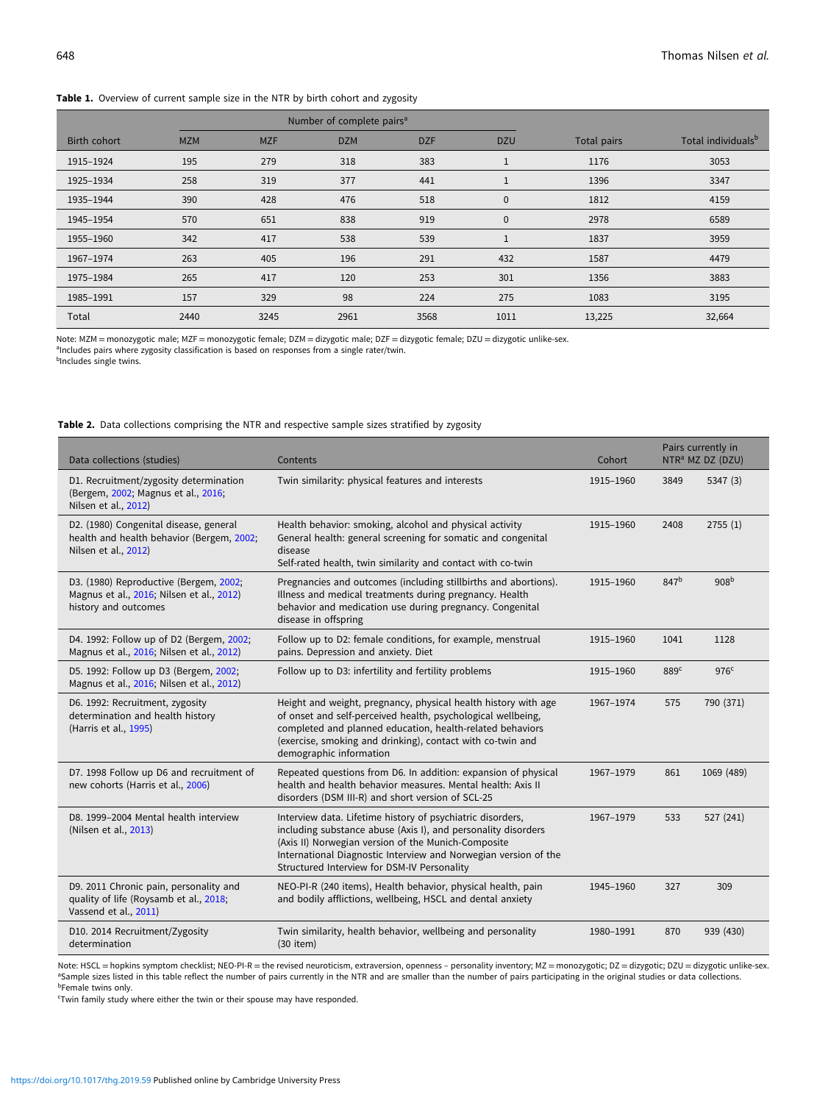<span id="page-1-0"></span>Table 1. Overview of current sample size in the NTR by birth cohort and zygosity

|                     |            |            | Number of complete pairs <sup>a</sup> |            |            |             |                                |
|---------------------|------------|------------|---------------------------------------|------------|------------|-------------|--------------------------------|
| <b>Birth cohort</b> | <b>MZM</b> | <b>MZF</b> | <b>DZM</b>                            | <b>DZF</b> | <b>DZU</b> | Total pairs | Total individuals <sup>b</sup> |
| 1915-1924           | 195        | 279        | 318                                   | 383        |            | 1176        | 3053                           |
| 1925-1934           | 258        | 319        | 377                                   | 441        |            | 1396        | 3347                           |
| 1935-1944           | 390        | 428        | 476                                   | 518        | 0          | 1812        | 4159                           |
| 1945-1954           | 570        | 651        | 838                                   | 919        | 0          | 2978        | 6589                           |
| 1955-1960           | 342        | 417        | 538                                   | 539        |            | 1837        | 3959                           |
| 1967-1974           | 263        | 405        | 196                                   | 291        | 432        | 1587        | 4479                           |
| 1975-1984           | 265        | 417        | 120                                   | 253        | 301        | 1356        | 3883                           |
| 1985-1991           | 157        | 329        | 98                                    | 224        | 275        | 1083        | 3195                           |
| Total               | 2440       | 3245       | 2961                                  | 3568       | 1011       | 13,225      | 32,664                         |

Note: MZM = monozygotic male; MZF = monozygotic female; DZM = dizygotic male; DZF = dizygotic female; DZU = dizygotic unlike-sex.

<sup>a</sup>Includes pairs where zygosity classification is based on responses from a single rater/twin.

b<sub>Includes</sub> single twins.

Table 2. Data collections comprising the NTR and respective sample sizes stratified by zygosity

| Data collections (studies)                                                                                  | Contents                                                                                                                                                                                                                                                                                             | Cohort    | Pairs currently in<br>NTR <sup>a</sup> MZ DZ (DZU) |                  |
|-------------------------------------------------------------------------------------------------------------|------------------------------------------------------------------------------------------------------------------------------------------------------------------------------------------------------------------------------------------------------------------------------------------------------|-----------|----------------------------------------------------|------------------|
| D1. Recruitment/zygosity determination<br>(Bergem, 2002; Magnus et al., 2016;<br>Nilsen et al., 2012)       | Twin similarity: physical features and interests                                                                                                                                                                                                                                                     | 1915-1960 | 3849                                               | 5347(3)          |
| D2. (1980) Congenital disease, general<br>health and health behavior (Bergem, 2002;<br>Nilsen et al., 2012) | Health behavior: smoking, alcohol and physical activity<br>General health: general screening for somatic and congenital<br>disease<br>Self-rated health, twin similarity and contact with co-twin                                                                                                    | 1915-1960 | 2408                                               | 2755(1)          |
| D3. (1980) Reproductive (Bergem, 2002;<br>Magnus et al., 2016; Nilsen et al., 2012)<br>history and outcomes | Pregnancies and outcomes (including stillbirths and abortions).<br>Illness and medical treatments during pregnancy. Health<br>behavior and medication use during pregnancy. Congenital<br>disease in offspring                                                                                       | 1915-1960 | 847 <sup>b</sup>                                   | 908 <sup>b</sup> |
| D4. 1992: Follow up of D2 (Bergem, 2002;<br>Magnus et al., 2016; Nilsen et al., 2012)                       | Follow up to D2: female conditions, for example, menstrual<br>pains. Depression and anxiety. Diet                                                                                                                                                                                                    | 1915-1960 | 1041                                               | 1128             |
| D5. 1992: Follow up D3 (Bergem, 2002;<br>Magnus et al., 2016; Nilsen et al., 2012)                          | Follow up to D3: infertility and fertility problems                                                                                                                                                                                                                                                  | 1915-1960 | 889 <sup>c</sup>                                   | 976 <sup>c</sup> |
| D6. 1992: Recruitment, zygosity<br>determination and health history<br>(Harris et al., 1995)                | Height and weight, pregnancy, physical health history with age<br>of onset and self-perceived health, psychological wellbeing,<br>completed and planned education, health-related behaviors<br>(exercise, smoking and drinking), contact with co-twin and<br>demographic information                 | 1967-1974 | 575                                                | 790 (371)        |
| D7. 1998 Follow up D6 and recruitment of<br>new cohorts (Harris et al., 2006)                               | Repeated questions from D6. In addition: expansion of physical<br>health and health behavior measures. Mental health: Axis II<br>disorders (DSM III-R) and short version of SCL-25                                                                                                                   | 1967-1979 | 861                                                | 1069 (489)       |
| D8. 1999-2004 Mental health interview<br>(Nilsen et al., 2013)                                              | Interview data. Lifetime history of psychiatric disorders,<br>including substance abuse (Axis I), and personality disorders<br>(Axis II) Norwegian version of the Munich-Composite<br>International Diagnostic Interview and Norwegian version of the<br>Structured Interview for DSM-IV Personality | 1967-1979 | 533                                                | 527 (241)        |
| D9. 2011 Chronic pain, personality and<br>quality of life (Roysamb et al., 2018;<br>Vassend et al., 2011)   | NEO-PI-R (240 items), Health behavior, physical health, pain<br>and bodily afflictions, wellbeing, HSCL and dental anxiety                                                                                                                                                                           | 1945-1960 | 327                                                | 309              |
| D10. 2014 Recruitment/Zygosity<br>determination                                                             | Twin similarity, health behavior, wellbeing and personality<br>$(30$ item)                                                                                                                                                                                                                           | 1980-1991 | 870                                                | 939 (430)        |

Note: HSCL = hopkins symptom checklist; NEO-PI-R = the revised neuroticism, extraversion, openness - personality inventory; MZ = monozygotic; DZ = dizygotic; DZU = dizygotic unlike-sex. <sup>a</sup>Sample sizes listed in this table reflect the number of pairs currently in the NTR and are smaller than the number of pairs participating in the original studies or data collections. bFemale twins only.

c Twin family study where either the twin or their spouse may have responded.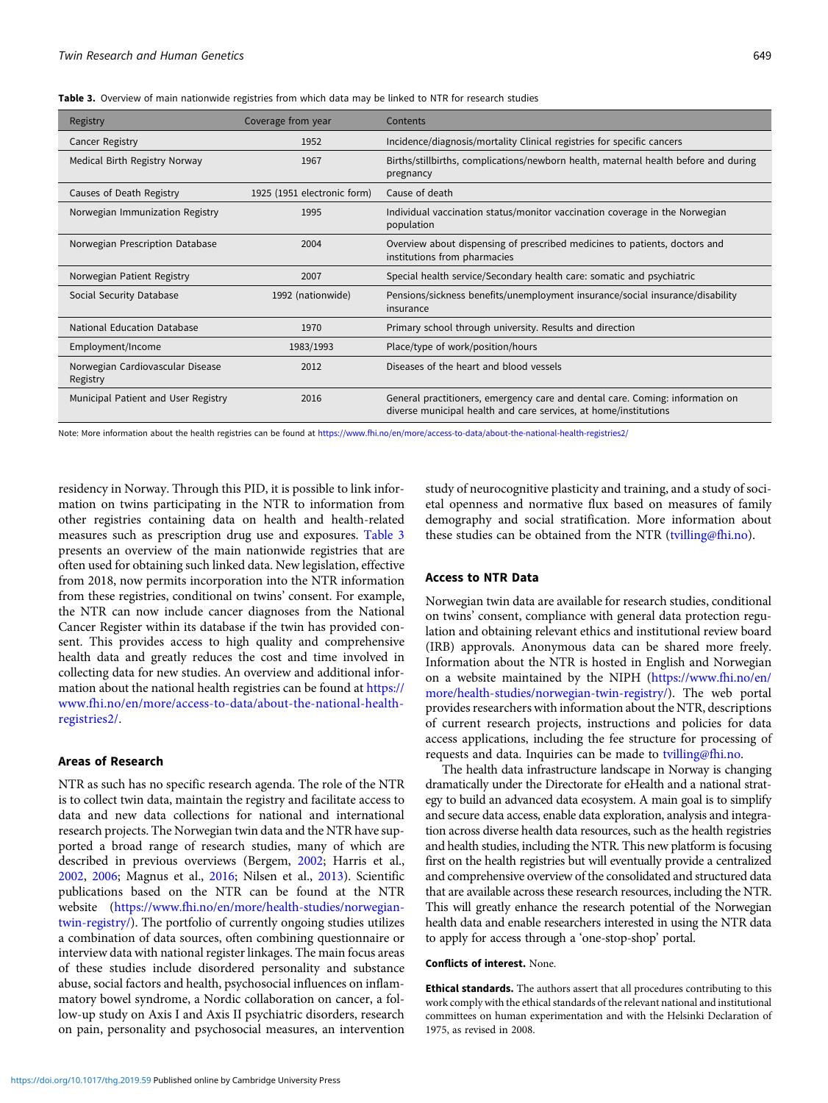| Registry                                     | Coverage from year          | Contents                                                                                                                                          |
|----------------------------------------------|-----------------------------|---------------------------------------------------------------------------------------------------------------------------------------------------|
| <b>Cancer Registry</b>                       | 1952                        | Incidence/diagnosis/mortality Clinical registries for specific cancers                                                                            |
| Medical Birth Registry Norway                | 1967                        | Births/stillbirths, complications/newborn health, maternal health before and during<br>pregnancy                                                  |
| Causes of Death Registry                     | 1925 (1951 electronic form) | Cause of death                                                                                                                                    |
| Norwegian Immunization Registry              | 1995                        | Individual vaccination status/monitor vaccination coverage in the Norwegian<br>population                                                         |
| Norwegian Prescription Database              | 2004                        | Overview about dispensing of prescribed medicines to patients, doctors and<br>institutions from pharmacies                                        |
| Norwegian Patient Registry                   | 2007                        | Special health service/Secondary health care: somatic and psychiatric                                                                             |
| Social Security Database                     | 1992 (nationwide)           | Pensions/sickness benefits/unemployment insurance/social insurance/disability<br>insurance                                                        |
| <b>National Education Database</b>           | 1970                        | Primary school through university. Results and direction                                                                                          |
| Employment/Income                            | 1983/1993                   | Place/type of work/position/hours                                                                                                                 |
| Norwegian Cardiovascular Disease<br>Registry | 2012                        | Diseases of the heart and blood vessels                                                                                                           |
| Municipal Patient and User Registry          | 2016                        | General practitioners, emergency care and dental care. Coming: information on<br>diverse municipal health and care services, at home/institutions |

Note: More information about the health registries can be found at <https://www.fhi.no/en/more/access-to-data/about-the-national-health-registries2/>

residency in Norway. Through this PID, it is possible to link information on twins participating in the NTR to information from other registries containing data on health and health-related measures such as prescription drug use and exposures. Table 3 presents an overview of the main nationwide registries that are often used for obtaining such linked data. New legislation, effective from 2018, now permits incorporation into the NTR information from these registries, conditional on twins' consent. For example, the NTR can now include cancer diagnoses from the National Cancer Register within its database if the twin has provided consent. This provides access to high quality and comprehensive health data and greatly reduces the cost and time involved in collecting data for new studies. An overview and additional information about the national health registries can be found at [https://](https://www.fhi.no/en/more/access-to-data/about-the-national-health-registries2/) [www.fhi.no/en/more/access-to-data/about-the-national-health](https://www.fhi.no/en/more/access-to-data/about-the-national-health-registries2/)[registries2/](https://www.fhi.no/en/more/access-to-data/about-the-national-health-registries2/).

#### Areas of Research

NTR as such has no specific research agenda. The role of the NTR is to collect twin data, maintain the registry and facilitate access to data and new data collections for national and international research projects. The Norwegian twin data and the NTR have supported a broad range of research studies, many of which are described in previous overviews (Bergem, [2002](#page-3-0); Harris et al., [2002](#page-3-0), [2006;](#page-3-0) Magnus et al., [2016;](#page-3-0) Nilsen et al., [2013](#page-3-0)). Scientific publications based on the NTR can be found at the NTR website [\(https://www.fhi.no/en/more/health-studies/norwegian](https://www.fhi.no/en/more/health-studies/norwegian-twin-registry/)[twin-registry/\)](https://www.fhi.no/en/more/health-studies/norwegian-twin-registry/). The portfolio of currently ongoing studies utilizes a combination of data sources, often combining questionnaire or interview data with national register linkages. The main focus areas of these studies include disordered personality and substance abuse, social factors and health, psychosocial influences on inflammatory bowel syndrome, a Nordic collaboration on cancer, a follow-up study on Axis I and Axis II psychiatric disorders, research on pain, personality and psychosocial measures, an intervention

study of neurocognitive plasticity and training, and a study of societal openness and normative flux based on measures of family demography and social stratification. More information about these studies can be obtained from the NTR [\(tvilling@fhi.no\)](mailto:tvilling@fhi.no).

#### Access to NTR Data

Norwegian twin data are available for research studies, conditional on twins' consent, compliance with general data protection regulation and obtaining relevant ethics and institutional review board (IRB) approvals. Anonymous data can be shared more freely. Information about the NTR is hosted in English and Norwegian on a website maintained by the NIPH ([https://www.fhi.no/en/](https://www.fhi.no/en/more/health-studies/norwegian-twin-registry/) [more/health-studies/norwegian-twin-registry/](https://www.fhi.no/en/more/health-studies/norwegian-twin-registry/)). The web portal provides researchers with information about the NTR, descriptions of current research projects, instructions and policies for data access applications, including the fee structure for processing of requests and data. Inquiries can be made to [tvilling@fhi.no.](mailto:tvilling@fhi.no)

The health data infrastructure landscape in Norway is changing dramatically under the Directorate for eHealth and a national strategy to build an advanced data ecosystem. A main goal is to simplify and secure data access, enable data exploration, analysis and integration across diverse health data resources, such as the health registries and health studies, including the NTR. This new platform is focusing first on the health registries but will eventually provide a centralized and comprehensive overview of the consolidated and structured data that are available across these research resources, including the NTR. This will greatly enhance the research potential of the Norwegian health data and enable researchers interested in using the NTR data to apply for access through a 'one-stop-shop' portal.

#### Conflicts of interest. None.

Ethical standards. The authors assert that all procedures contributing to this work comply with the ethical standards of the relevant national and institutional committees on human experimentation and with the Helsinki Declaration of 1975, as revised in 2008.